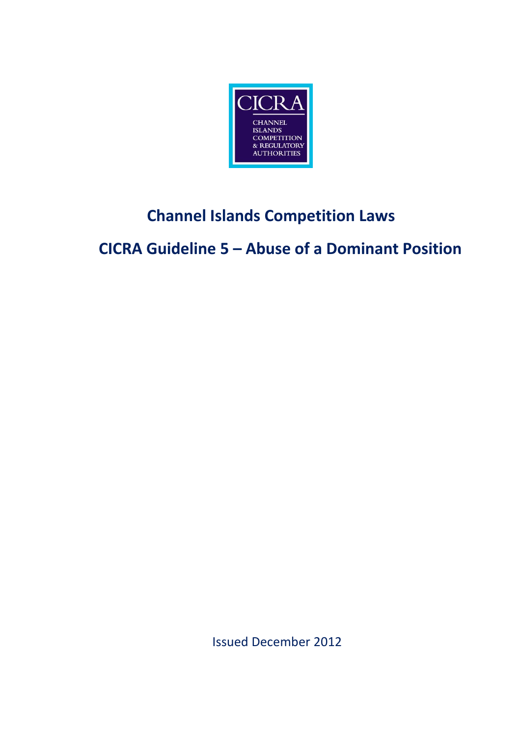

# **Channel Islands Competition Laws**

**CICRA Guideline 5 – Abuse of a Dominant Position**

Issued December 2012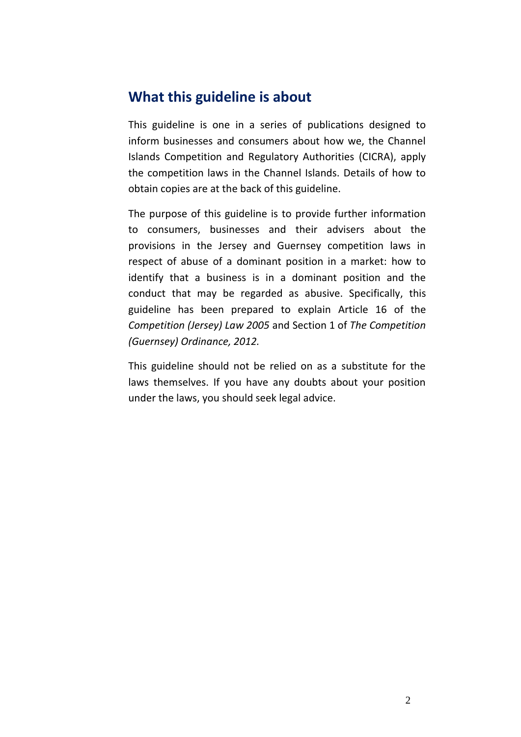### **What this guideline is about**

This guideline is one in a series of publications designed to inform businesses and consumers about how we, the Channel Islands Competition and Regulatory Authorities (CICRA), apply the competition laws in the Channel Islands. Details of how to obtain copies are at the back of this guideline.

The purpose of this guideline is to provide further information to consumers, businesses and their advisers about the provisions in the Jersey and Guernsey competition laws in respect of abuse of a dominant position in a market: how to identify that a business is in a dominant position and the conduct that may be regarded as abusive. Specifically, this guideline has been prepared to explain Article 16 of the *Competition (Jersey) Law 2005* and Section 1 of *The Competition (Guernsey) Ordinance, 2012.*

This guideline should not be relied on as a substitute for the laws themselves. If you have any doubts about your position under the laws, you should seek legal advice.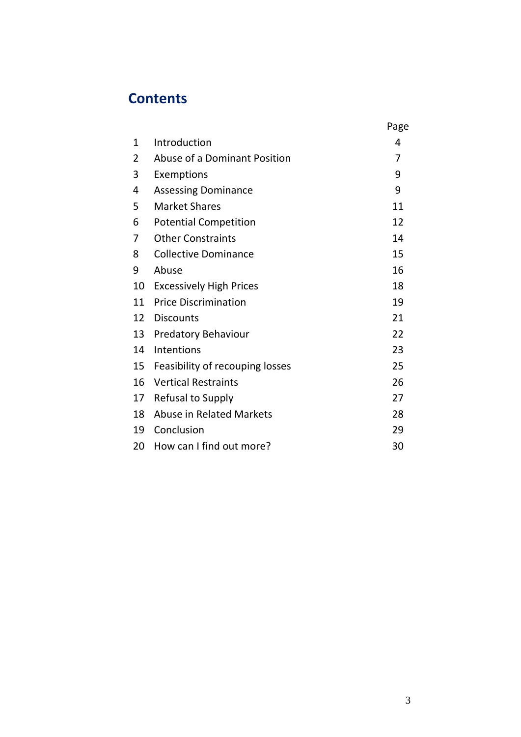# **Contents**

|    |                                 | Page |
|----|---------------------------------|------|
| 1  | Introduction                    | 4    |
| 2  | Abuse of a Dominant Position    | 7    |
| 3  | Exemptions                      | 9    |
| 4  | <b>Assessing Dominance</b>      | 9    |
| 5  | <b>Market Shares</b>            | 11   |
| 6  | <b>Potential Competition</b>    | 12   |
| 7  | <b>Other Constraints</b>        | 14   |
| 8  | <b>Collective Dominance</b>     | 15   |
| 9  | Abuse                           | 16   |
| 10 | <b>Excessively High Prices</b>  | 18   |
| 11 | <b>Price Discrimination</b>     | 19   |
| 12 | <b>Discounts</b>                | 21   |
| 13 | <b>Predatory Behaviour</b>      | 22   |
| 14 | Intentions                      | 23   |
| 15 | Feasibility of recouping losses | 25   |
| 16 | <b>Vertical Restraints</b>      | 26   |
| 17 | Refusal to Supply               | 27   |
| 18 | Abuse in Related Markets        | 28   |
| 19 | Conclusion                      | 29   |
| 20 | How can I find out more?        | 30   |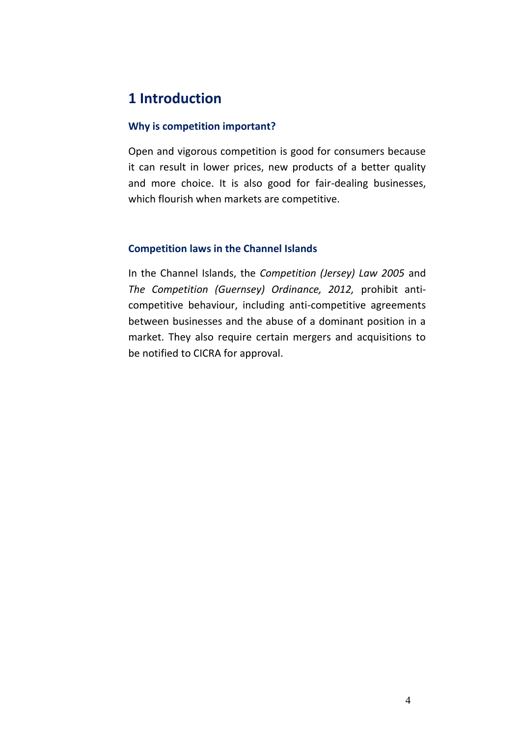# **1 Introduction**

#### **Why is competition important?**

Open and vigorous competition is good for consumers because it can result in lower prices, new products of a better quality and more choice. It is also good for fair-dealing businesses, which flourish when markets are competitive.

#### **Competition laws in the Channel Islands**

In the Channel Islands, the *Competition (Jersey) Law 2005* and *The Competition (Guernsey) Ordinance, 2012,* prohibit anticompetitive behaviour, including anti-competitive agreements between businesses and the abuse of a dominant position in a market. They also require certain mergers and acquisitions to be notified to CICRA for approval.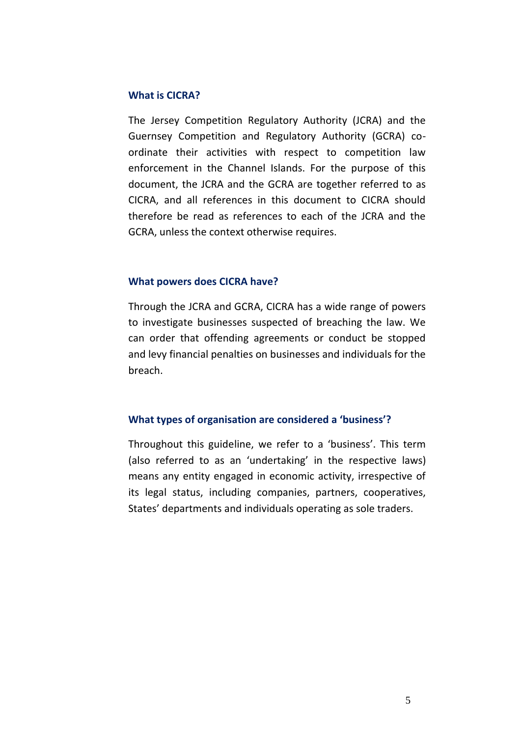#### **What is CICRA?**

The Jersey Competition Regulatory Authority (JCRA) and the Guernsey Competition and Regulatory Authority (GCRA) coordinate their activities with respect to competition law enforcement in the Channel Islands. For the purpose of this document, the JCRA and the GCRA are together referred to as CICRA, and all references in this document to CICRA should therefore be read as references to each of the JCRA and the GCRA, unless the context otherwise requires.

#### **What powers does CICRA have?**

Through the JCRA and GCRA, CICRA has a wide range of powers to investigate businesses suspected of breaching the law. We can order that offending agreements or conduct be stopped and levy financial penalties on businesses and individuals for the breach.

#### **What types of organisation are considered a 'business'?**

Throughout this guideline, we refer to a 'business'. This term (also referred to as an 'undertaking' in the respective laws) means any entity engaged in economic activity, irrespective of its legal status, including companies, partners, cooperatives, States' departments and individuals operating as sole traders.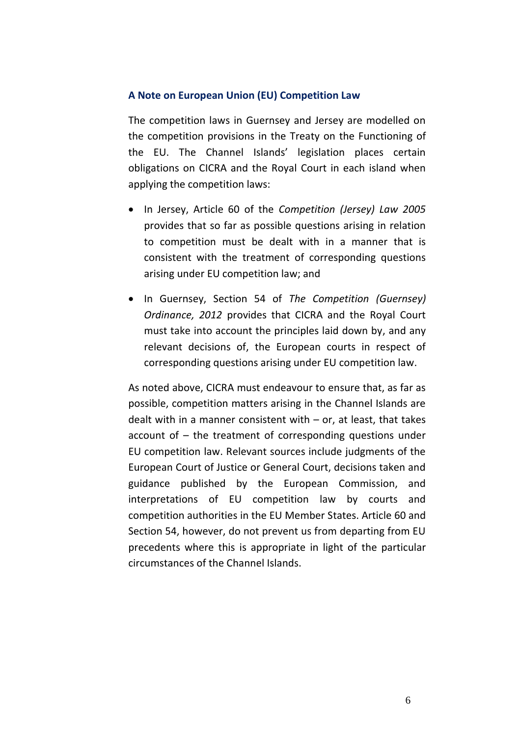#### **A Note on European Union (EU) Competition Law**

The competition laws in Guernsey and Jersey are modelled on the competition provisions in the Treaty on the Functioning of the EU. The Channel Islands' legislation places certain obligations on CICRA and the Royal Court in each island when applying the competition laws:

- In Jersey, Article 60 of the *Competition (Jersey) Law 2005* provides that so far as possible questions arising in relation to competition must be dealt with in a manner that is consistent with the treatment of corresponding questions arising under EU competition law; and
- In Guernsey, Section 54 of *The Competition (Guernsey) Ordinance, 2012* provides that CICRA and the Royal Court must take into account the principles laid down by, and any relevant decisions of, the European courts in respect of corresponding questions arising under EU competition law.

As noted above, CICRA must endeavour to ensure that, as far as possible, competition matters arising in the Channel Islands are dealt with in a manner consistent with – or, at least, that takes account of – the treatment of corresponding questions under EU competition law. Relevant sources include judgments of the European Court of Justice or General Court, decisions taken and guidance published by the European Commission, and interpretations of EU competition law by courts and competition authorities in the EU Member States. Article 60 and Section 54, however, do not prevent us from departing from EU precedents where this is appropriate in light of the particular circumstances of the Channel Islands.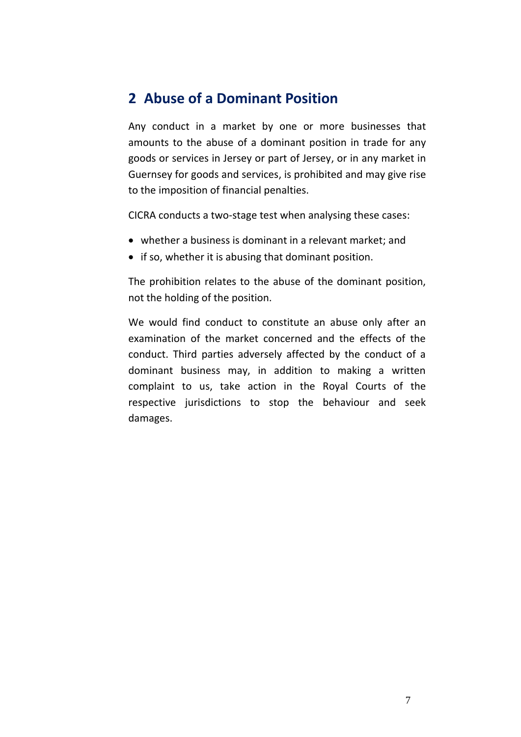#### **2 Abuse of a Dominant Position**

Any conduct in a market by one or more businesses that amounts to the abuse of a dominant position in trade for any goods or services in Jersey or part of Jersey, or in any market in Guernsey for goods and services, is prohibited and may give rise to the imposition of financial penalties.

CICRA conducts a two-stage test when analysing these cases:

- whether a business is dominant in a relevant market; and
- if so, whether it is abusing that dominant position.

The prohibition relates to the abuse of the dominant position, not the holding of the position.

We would find conduct to constitute an abuse only after an examination of the market concerned and the effects of the conduct. Third parties adversely affected by the conduct of a dominant business may, in addition to making a written complaint to us, take action in the Royal Courts of the respective jurisdictions to stop the behaviour and seek damages.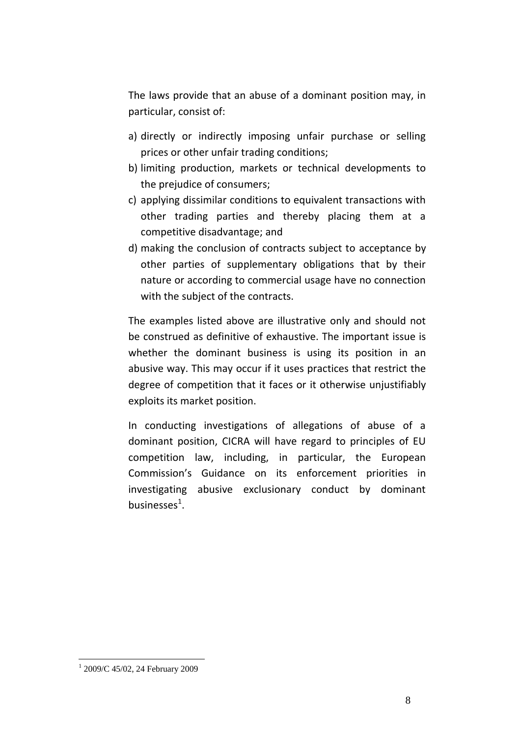The laws provide that an abuse of a dominant position may, in particular, consist of:

- a) directly or indirectly imposing unfair purchase or selling prices or other unfair trading conditions;
- b) limiting production, markets or technical developments to the prejudice of consumers;
- c) applying dissimilar conditions to equivalent transactions with other trading parties and thereby placing them at a competitive disadvantage; and
- d) making the conclusion of contracts subject to acceptance by other parties of supplementary obligations that by their nature or according to commercial usage have no connection with the subject of the contracts.

The examples listed above are illustrative only and should not be construed as definitive of exhaustive. The important issue is whether the dominant business is using its position in an abusive way. This may occur if it uses practices that restrict the degree of competition that it faces or it otherwise unjustifiably exploits its market position.

In conducting investigations of allegations of abuse of a dominant position, CICRA will have regard to principles of EU competition law, including, in particular, the European Commission's Guidance on its enforcement priorities in investigating abusive exclusionary conduct by dominant businesses $^1$ .

<sup>1</sup> 2009/C 45/02, 24 February 2009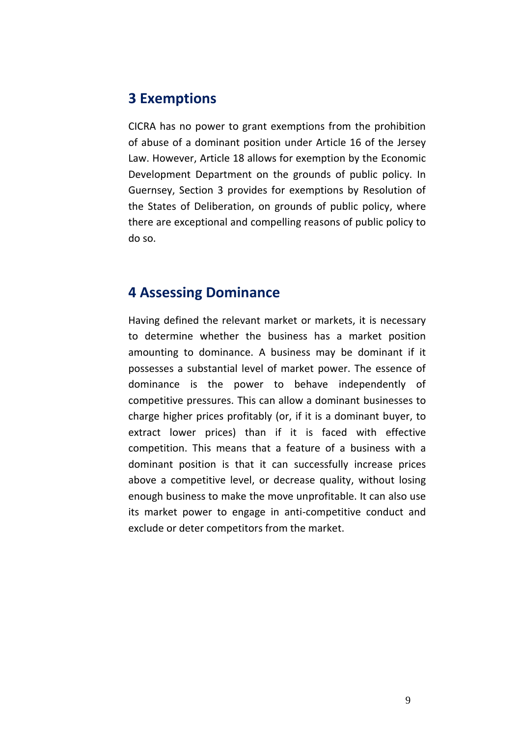#### **3 Exemptions**

CICRA has no power to grant exemptions from the prohibition of abuse of a dominant position under Article 16 of the Jersey Law. However, Article 18 allows for exemption by the Economic Development Department on the grounds of public policy. In Guernsey, Section 3 provides for exemptions by Resolution of the States of Deliberation, on grounds of public policy, where there are exceptional and compelling reasons of public policy to do so.

#### **4 Assessing Dominance**

Having defined the relevant market or markets, it is necessary to determine whether the business has a market position amounting to dominance. A business may be dominant if it possesses a substantial level of market power. The essence of dominance is the power to behave independently of competitive pressures. This can allow a dominant businesses to charge higher prices profitably (or, if it is a dominant buyer, to extract lower prices) than if it is faced with effective competition. This means that a feature of a business with a dominant position is that it can successfully increase prices above a competitive level, or decrease quality, without losing enough business to make the move unprofitable. It can also use its market power to engage in anti-competitive conduct and exclude or deter competitors from the market.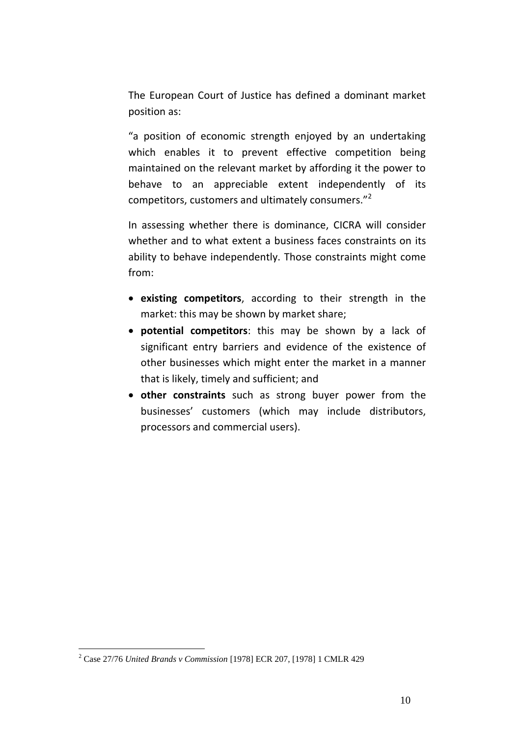The European Court of Justice has defined a dominant market position as:

"a position of economic strength enjoyed by an undertaking which enables it to prevent effective competition being maintained on the relevant market by affording it the power to behave to an appreciable extent independently of its competitors, customers and ultimately consumers."<sup>2</sup>

In assessing whether there is dominance, CICRA will consider whether and to what extent a business faces constraints on its ability to behave independently. Those constraints might come from:

- **existing competitors**, according to their strength in the market: this may be shown by market share;
- **potential competitors**: this may be shown by a lack of significant entry barriers and evidence of the existence of other businesses which might enter the market in a manner that is likely, timely and sufficient; and
- **other constraints** such as strong buyer power from the businesses' customers (which may include distributors, processors and commercial users).

<sup>2</sup> Case 27/76 *United Brands v Commission* [1978] ECR 207, [1978] 1 CMLR 429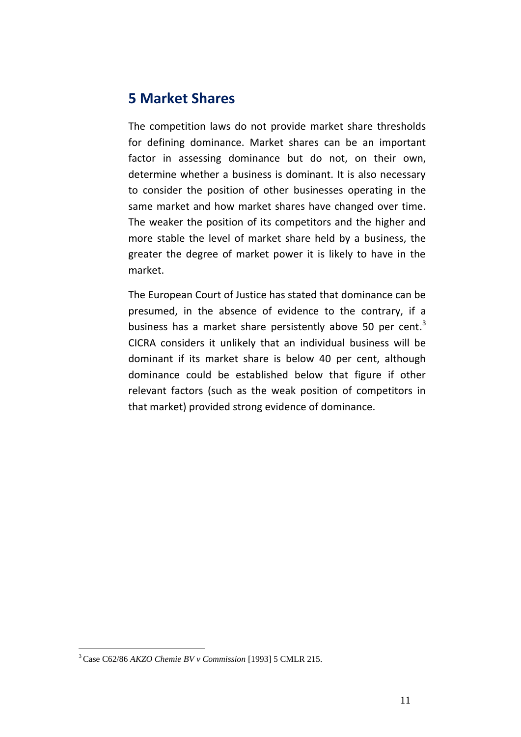#### **5 Market Shares**

The competition laws do not provide market share thresholds for defining dominance. Market shares can be an important factor in assessing dominance but do not, on their own, determine whether a business is dominant. It is also necessary to consider the position of other businesses operating in the same market and how market shares have changed over time. The weaker the position of its competitors and the higher and more stable the level of market share held by a business, the greater the degree of market power it is likely to have in the market.

The European Court of Justice has stated that dominance can be presumed, in the absence of evidence to the contrary, if a business has a market share persistently above 50 per cent.<sup>3</sup> CICRA considers it unlikely that an individual business will be dominant if its market share is below 40 per cent, although dominance could be established below that figure if other relevant factors (such as the weak position of competitors in that market) provided strong evidence of dominance.

<sup>3</sup> Case C62/86 *AKZO Chemie BV v Commission* [1993] 5 CMLR 215.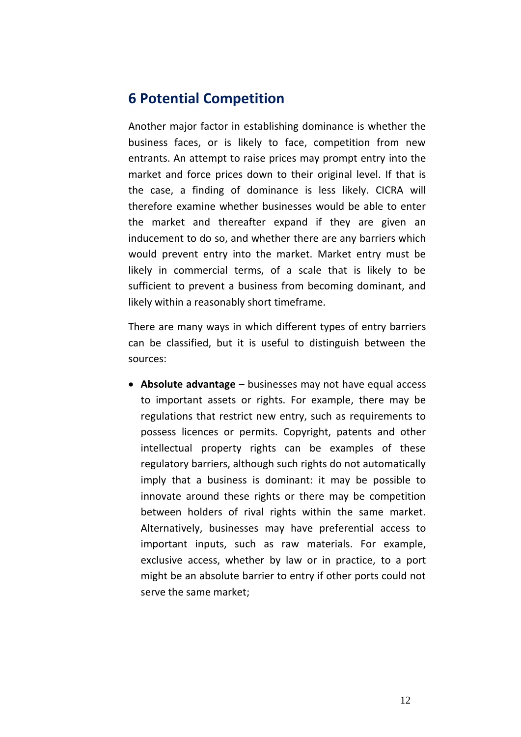### **6 Potential Competition**

Another major factor in establishing dominance is whether the business faces, or is likely to face, competition from new entrants. An attempt to raise prices may prompt entry into the market and force prices down to their original level. If that is the case, a finding of dominance is less likely. CICRA will therefore examine whether businesses would be able to enter the market and thereafter expand if they are given an inducement to do so, and whether there are any barriers which would prevent entry into the market. Market entry must be likely in commercial terms, of a scale that is likely to be sufficient to prevent a business from becoming dominant, and likely within a reasonably short timeframe.

There are many ways in which different types of entry barriers can be classified, but it is useful to distinguish between the sources:

 **Absolute advantage** – businesses may not have equal access to important assets or rights. For example, there may be regulations that restrict new entry, such as requirements to possess licences or permits. Copyright, patents and other intellectual property rights can be examples of these regulatory barriers, although such rights do not automatically imply that a business is dominant: it may be possible to innovate around these rights or there may be competition between holders of rival rights within the same market. Alternatively, businesses may have preferential access to important inputs, such as raw materials. For example, exclusive access, whether by law or in practice, to a port might be an absolute barrier to entry if other ports could not serve the same market;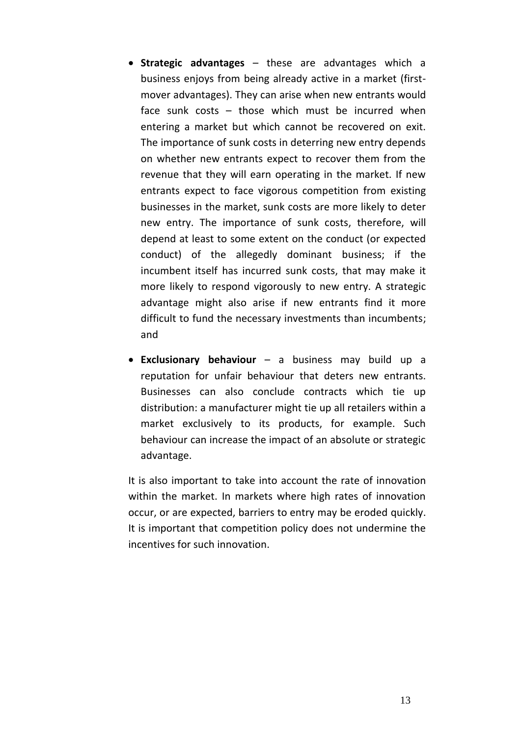- **Strategic advantages** these are advantages which a business enjoys from being already active in a market (firstmover advantages). They can arise when new entrants would face sunk costs – those which must be incurred when entering a market but which cannot be recovered on exit. The importance of sunk costs in deterring new entry depends on whether new entrants expect to recover them from the revenue that they will earn operating in the market. If new entrants expect to face vigorous competition from existing businesses in the market, sunk costs are more likely to deter new entry. The importance of sunk costs, therefore, will depend at least to some extent on the conduct (or expected conduct) of the allegedly dominant business; if the incumbent itself has incurred sunk costs, that may make it more likely to respond vigorously to new entry. A strategic advantage might also arise if new entrants find it more difficult to fund the necessary investments than incumbents; and
- **Exclusionary behaviour** a business may build up a reputation for unfair behaviour that deters new entrants. Businesses can also conclude contracts which tie up distribution: a manufacturer might tie up all retailers within a market exclusively to its products, for example. Such behaviour can increase the impact of an absolute or strategic advantage.

It is also important to take into account the rate of innovation within the market. In markets where high rates of innovation occur, or are expected, barriers to entry may be eroded quickly. It is important that competition policy does not undermine the incentives for such innovation.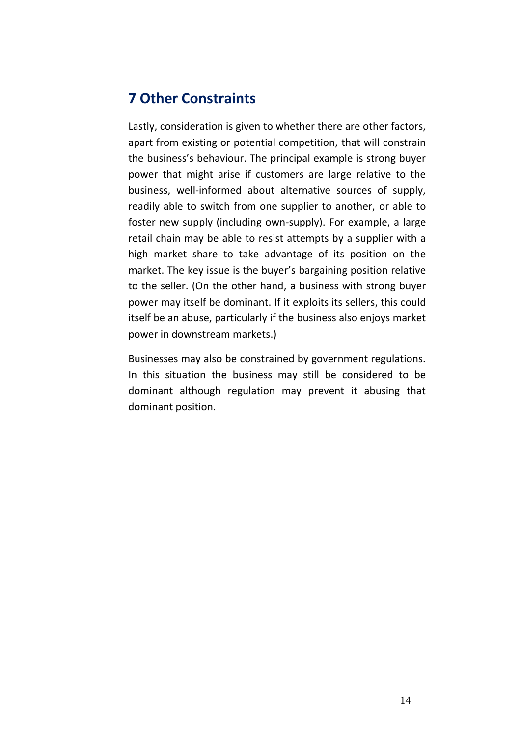### **7 Other Constraints**

Lastly, consideration is given to whether there are other factors, apart from existing or potential competition, that will constrain the business's behaviour. The principal example is strong buyer power that might arise if customers are large relative to the business, well-informed about alternative sources of supply, readily able to switch from one supplier to another, or able to foster new supply (including own-supply). For example, a large retail chain may be able to resist attempts by a supplier with a high market share to take advantage of its position on the market. The key issue is the buyer's bargaining position relative to the seller. (On the other hand, a business with strong buyer power may itself be dominant. If it exploits its sellers, this could itself be an abuse, particularly if the business also enjoys market power in downstream markets.)

Businesses may also be constrained by government regulations. In this situation the business may still be considered to be dominant although regulation may prevent it abusing that dominant position.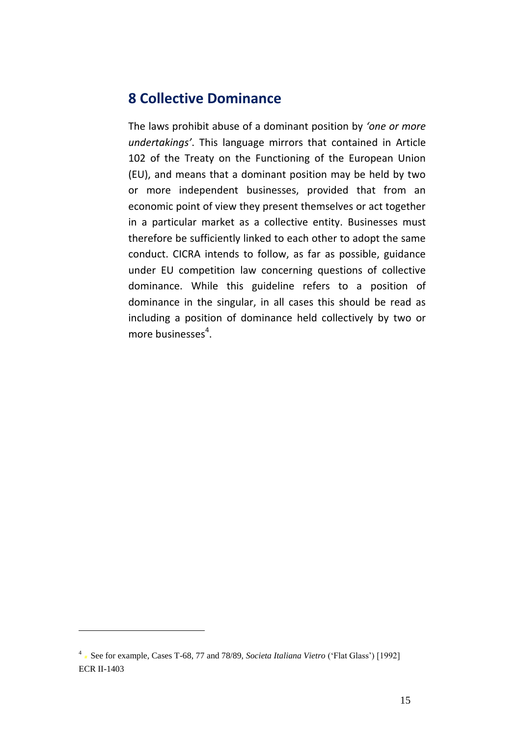### **8 Collective Dominance**

The laws prohibit abuse of a dominant position by *'one or more undertakings'*. This language mirrors that contained in Article 102 of the Treaty on the Functioning of the European Union (EU), and means that a dominant position may be held by two or more independent businesses, provided that from an economic point of view they present themselves or act together in a particular market as a collective entity. Businesses must therefore be sufficiently linked to each other to adopt the same conduct. CICRA intends to follow, as far as possible, guidance under EU competition law concerning questions of collective dominance. While this guideline refers to a position of dominance in the singular, in all cases this should be read as including a position of dominance held collectively by two or more businesses<sup>4</sup>.

<sup>4</sup> *.*See for example, Cases T-68, 77 and 78/89, *Societa Italiana Vietro* ('Flat Glass') [1992] ECR II-1403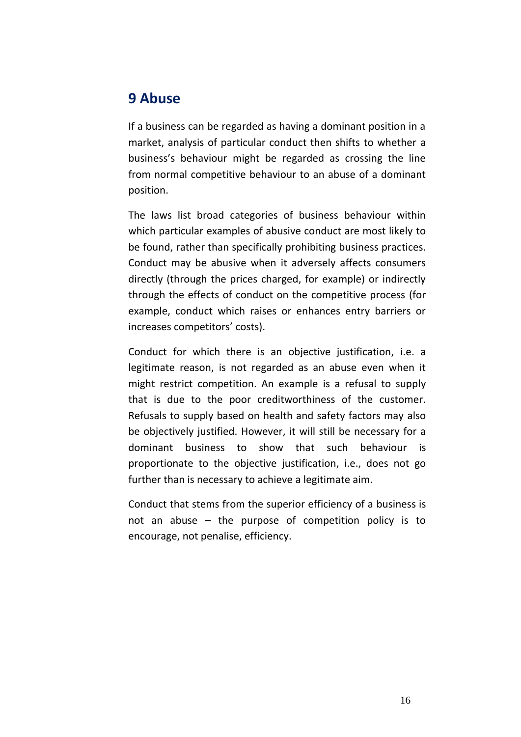### **9 Abuse**

If a business can be regarded as having a dominant position in a market, analysis of particular conduct then shifts to whether a business's behaviour might be regarded as crossing the line from normal competitive behaviour to an abuse of a dominant position.

The laws list broad categories of business behaviour within which particular examples of abusive conduct are most likely to be found, rather than specifically prohibiting business practices. Conduct may be abusive when it adversely affects consumers directly (through the prices charged, for example) or indirectly through the effects of conduct on the competitive process (for example, conduct which raises or enhances entry barriers or increases competitors' costs).

Conduct for which there is an objective justification, i.e. a legitimate reason, is not regarded as an abuse even when it might restrict competition. An example is a refusal to supply that is due to the poor creditworthiness of the customer. Refusals to supply based on health and safety factors may also be objectively justified. However, it will still be necessary for a dominant business to show that such behaviour is proportionate to the objective justification, i.e., does not go further than is necessary to achieve a legitimate aim.

Conduct that stems from the superior efficiency of a business is not an abuse – the purpose of competition policy is to encourage, not penalise, efficiency.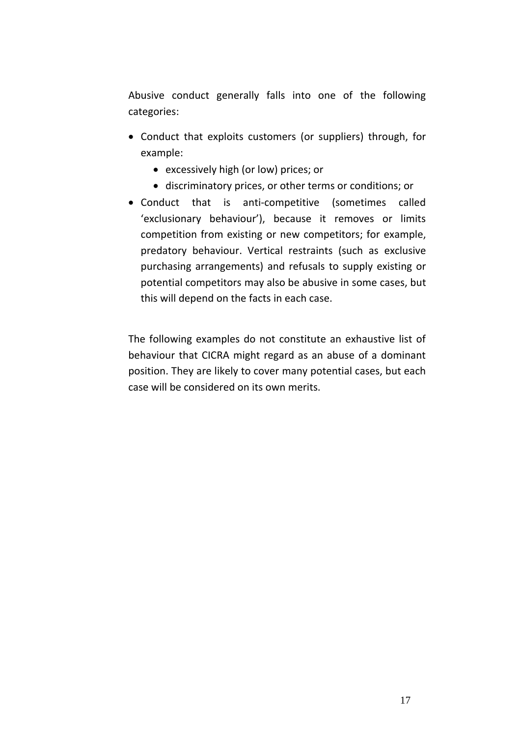Abusive conduct generally falls into one of the following categories:

- Conduct that exploits customers (or suppliers) through, for example:
	- excessively high (or low) prices; or
	- discriminatory prices, or other terms or conditions; or
- Conduct that is anti-competitive (sometimes called 'exclusionary behaviour'), because it removes or limits competition from existing or new competitors; for example, predatory behaviour. Vertical restraints (such as exclusive purchasing arrangements) and refusals to supply existing or potential competitors may also be abusive in some cases, but this will depend on the facts in each case.

The following examples do not constitute an exhaustive list of behaviour that CICRA might regard as an abuse of a dominant position. They are likely to cover many potential cases, but each case will be considered on its own merits.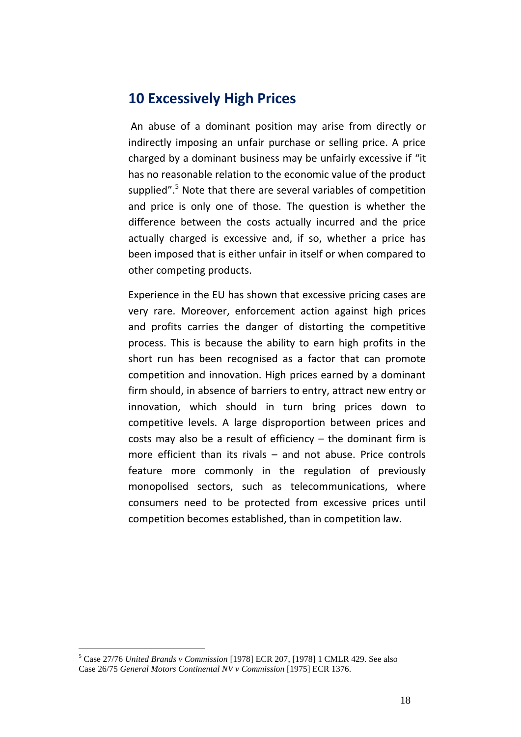#### **10 Excessively High Prices**

An abuse of a dominant position may arise from directly or indirectly imposing an unfair purchase or selling price. A price charged by a dominant business may be unfairly excessive if "it has no reasonable relation to the economic value of the product supplied".<sup>5</sup> Note that there are several variables of competition and price is only one of those. The question is whether the difference between the costs actually incurred and the price actually charged is excessive and, if so, whether a price has been imposed that is either unfair in itself or when compared to other competing products.

Experience in the EU has shown that excessive pricing cases are very rare. Moreover, enforcement action against high prices and profits carries the danger of distorting the competitive process. This is because the ability to earn high profits in the short run has been recognised as a factor that can promote competition and innovation. High prices earned by a dominant firm should, in absence of barriers to entry, attract new entry or innovation, which should in turn bring prices down to competitive levels. A large disproportion between prices and costs may also be a result of efficiency – the dominant firm is more efficient than its rivals – and not abuse. Price controls feature more commonly in the regulation of previously monopolised sectors, such as telecommunications, where consumers need to be protected from excessive prices until competition becomes established, than in competition law.

<sup>5</sup> Case 27/76 *United Brands v Commission* [1978] ECR 207, [1978] 1 CMLR 429. See also Case 26/75 *General Motors Continental NV v Commission* [1975] ECR 1376.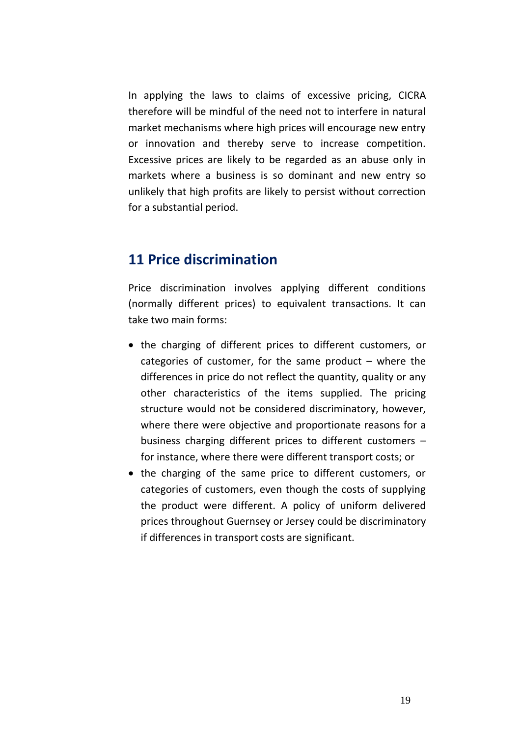In applying the laws to claims of excessive pricing, CICRA therefore will be mindful of the need not to interfere in natural market mechanisms where high prices will encourage new entry or innovation and thereby serve to increase competition. Excessive prices are likely to be regarded as an abuse only in markets where a business is so dominant and new entry so unlikely that high profits are likely to persist without correction for a substantial period.

#### **11 Price discrimination**

Price discrimination involves applying different conditions (normally different prices) to equivalent transactions. It can take two main forms:

- the charging of different prices to different customers, or categories of customer, for the same product  $-$  where the differences in price do not reflect the quantity, quality or any other characteristics of the items supplied. The pricing structure would not be considered discriminatory, however, where there were objective and proportionate reasons for a business charging different prices to different customers – for instance, where there were different transport costs; or
- the charging of the same price to different customers, or categories of customers, even though the costs of supplying the product were different. A policy of uniform delivered prices throughout Guernsey or Jersey could be discriminatory if differences in transport costs are significant.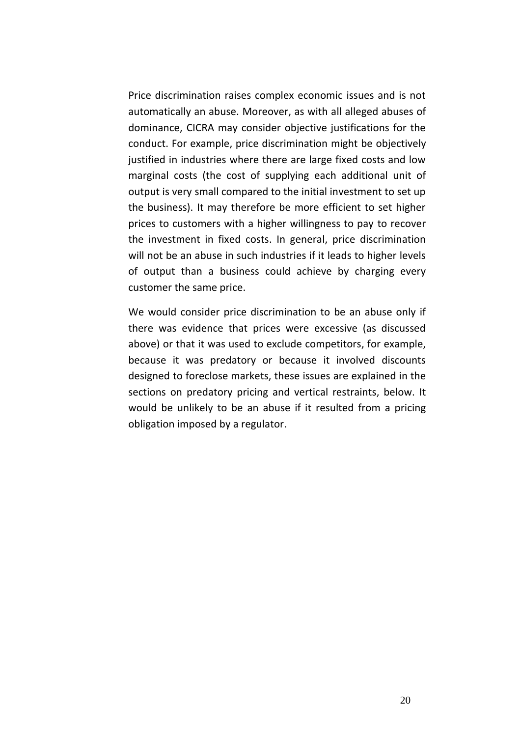Price discrimination raises complex economic issues and is not automatically an abuse. Moreover, as with all alleged abuses of dominance, CICRA may consider objective justifications for the conduct. For example, price discrimination might be objectively justified in industries where there are large fixed costs and low marginal costs (the cost of supplying each additional unit of output is very small compared to the initial investment to set up the business). It may therefore be more efficient to set higher prices to customers with a higher willingness to pay to recover the investment in fixed costs. In general, price discrimination will not be an abuse in such industries if it leads to higher levels of output than a business could achieve by charging every customer the same price.

We would consider price discrimination to be an abuse only if there was evidence that prices were excessive (as discussed above) or that it was used to exclude competitors, for example, because it was predatory or because it involved discounts designed to foreclose markets, these issues are explained in the sections on predatory pricing and vertical restraints, below. It would be unlikely to be an abuse if it resulted from a pricing obligation imposed by a regulator.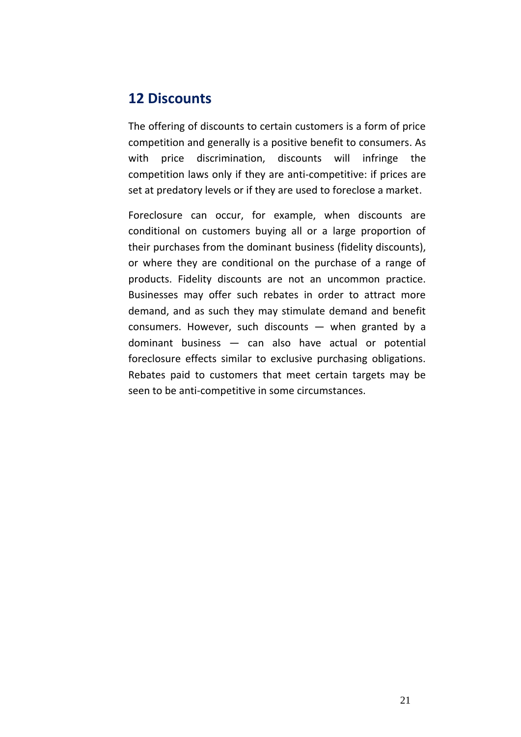### **12 Discounts**

The offering of discounts to certain customers is a form of price competition and generally is a positive benefit to consumers. As with price discrimination, discounts will infringe the competition laws only if they are anti-competitive: if prices are set at predatory levels or if they are used to foreclose a market.

Foreclosure can occur, for example, when discounts are conditional on customers buying all or a large proportion of their purchases from the dominant business (fidelity discounts), or where they are conditional on the purchase of a range of products. Fidelity discounts are not an uncommon practice. Businesses may offer such rebates in order to attract more demand, and as such they may stimulate demand and benefit consumers. However, such discounts — when granted by a dominant business — can also have actual or potential foreclosure effects similar to exclusive purchasing obligations. Rebates paid to customers that meet certain targets may be seen to be anti-competitive in some circumstances.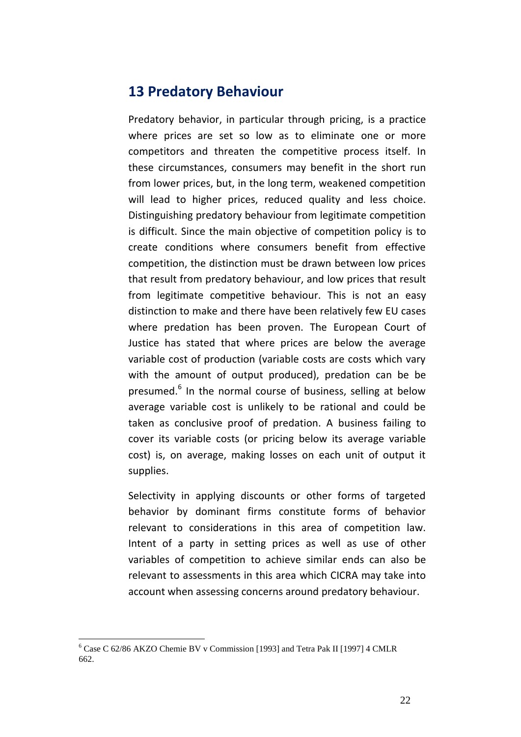#### **13 Predatory Behaviour**

Predatory behavior, in particular through pricing, is a practice where prices are set so low as to eliminate one or more competitors and threaten the competitive process itself. In these circumstances, consumers may benefit in the short run from lower prices, but, in the long term, weakened competition will lead to higher prices, reduced quality and less choice. Distinguishing predatory behaviour from legitimate competition is difficult. Since the main objective of competition policy is to create conditions where consumers benefit from effective competition, the distinction must be drawn between low prices that result from predatory behaviour, and low prices that result from legitimate competitive behaviour. This is not an easy distinction to make and there have been relatively few EU cases where predation has been proven. The European Court of Justice has stated that where prices are below the average variable cost of production (variable costs are costs which vary with the amount of output produced), predation can be be presumed.<sup>6</sup> In the normal course of business, selling at below average variable cost is unlikely to be rational and could be taken as conclusive proof of predation. A business failing to cover its variable costs (or pricing below its average variable cost) is, on average, making losses on each unit of output it supplies.

Selectivity in applying discounts or other forms of targeted behavior by dominant firms constitute forms of behavior relevant to considerations in this area of competition law. Intent of a party in setting prices as well as use of other variables of competition to achieve similar ends can also be relevant to assessments in this area which CICRA may take into account when assessing concerns around predatory behaviour.

<sup>6</sup> Case C 62/86 AKZO Chemie BV v Commission [1993] and Tetra Pak II [1997] 4 CMLR 662.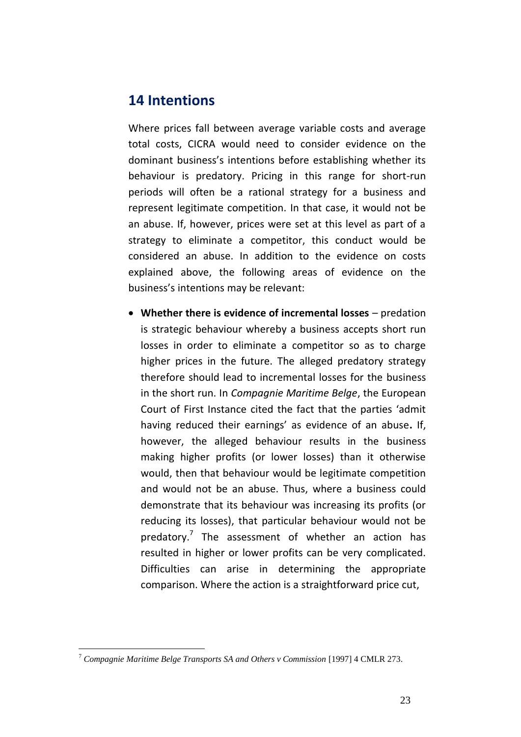#### **14 Intentions**

Where prices fall between average variable costs and average total costs, CICRA would need to consider evidence on the dominant business's intentions before establishing whether its behaviour is predatory. Pricing in this range for short-run periods will often be a rational strategy for a business and represent legitimate competition. In that case, it would not be an abuse. If, however, prices were set at this level as part of a strategy to eliminate a competitor, this conduct would be considered an abuse. In addition to the evidence on costs explained above, the following areas of evidence on the business's intentions may be relevant:

 **Whether there is evidence of incremental losses** – predation is strategic behaviour whereby a business accepts short run losses in order to eliminate a competitor so as to charge higher prices in the future. The alleged predatory strategy therefore should lead to incremental losses for the business in the short run. In *Compagnie Maritime Belge*, the European Court of First Instance cited the fact that the parties 'admit having reduced their earnings' as evidence of an abuse**.** If, however, the alleged behaviour results in the business making higher profits (or lower losses) than it otherwise would, then that behaviour would be legitimate competition and would not be an abuse. Thus, where a business could demonstrate that its behaviour was increasing its profits (or reducing its losses), that particular behaviour would not be predatory.<sup>7</sup> The assessment of whether an action has resulted in higher or lower profits can be very complicated. Difficulties can arise in determining the appropriate comparison. Where the action is a straightforward price cut,

<sup>7</sup> *Compagnie Maritime Belge Transports SA and Others v Commission* [1997] 4 CMLR 273.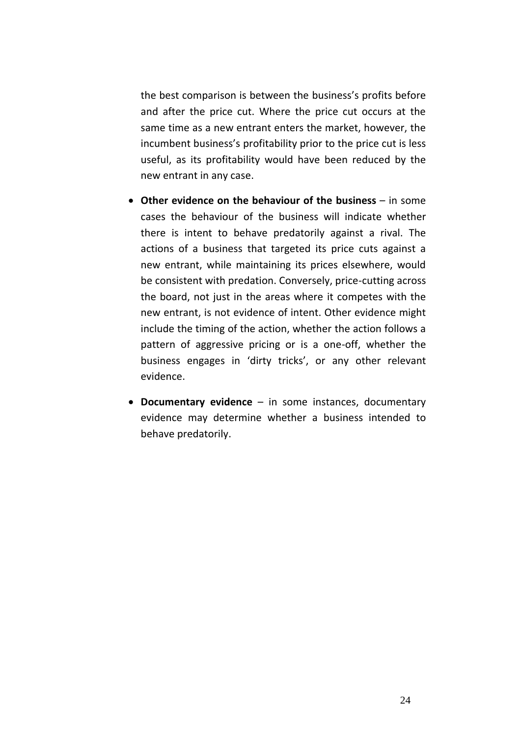the best comparison is between the business's profits before and after the price cut. Where the price cut occurs at the same time as a new entrant enters the market, however, the incumbent business's profitability prior to the price cut is less useful, as its profitability would have been reduced by the new entrant in any case.

- **Other evidence on the behaviour of the business** in some cases the behaviour of the business will indicate whether there is intent to behave predatorily against a rival. The actions of a business that targeted its price cuts against a new entrant, while maintaining its prices elsewhere, would be consistent with predation. Conversely, price-cutting across the board, not just in the areas where it competes with the new entrant, is not evidence of intent. Other evidence might include the timing of the action, whether the action follows a pattern of aggressive pricing or is a one-off, whether the business engages in 'dirty tricks', or any other relevant evidence.
- **Documentary evidence** in some instances, documentary evidence may determine whether a business intended to behave predatorily.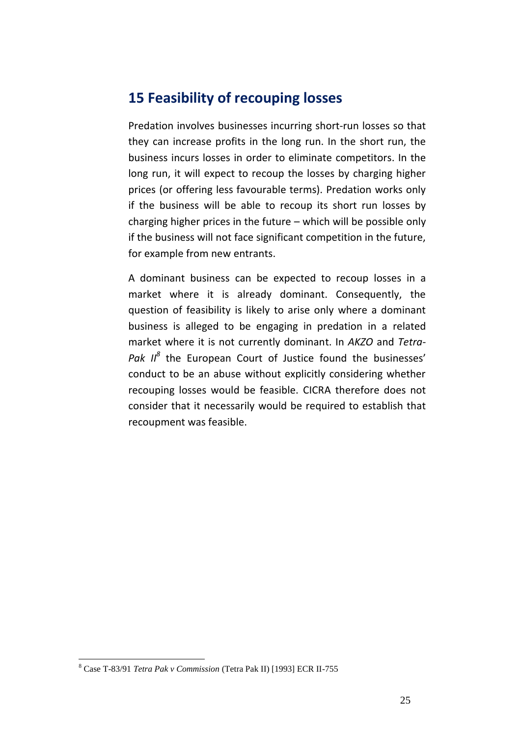### **15 Feasibility of recouping losses**

Predation involves businesses incurring short-run losses so that they can increase profits in the long run. In the short run, the business incurs losses in order to eliminate competitors. In the long run, it will expect to recoup the losses by charging higher prices (or offering less favourable terms). Predation works only if the business will be able to recoup its short run losses by charging higher prices in the future – which will be possible only if the business will not face significant competition in the future, for example from new entrants.

A dominant business can be expected to recoup losses in a market where it is already dominant. Consequently, the question of feasibility is likely to arise only where a dominant business is alleged to be engaging in predation in a related market where it is not currently dominant. In *AKZO* and *Tetra-*Pak II<sup>8</sup> the European Court of Justice found the businesses' conduct to be an abuse without explicitly considering whether recouping losses would be feasible. CICRA therefore does not consider that it necessarily would be required to establish that recoupment was feasible.

<sup>8</sup> Case T-83/91 *Tetra Pak v Commission* (Tetra Pak II) [1993] ECR II-755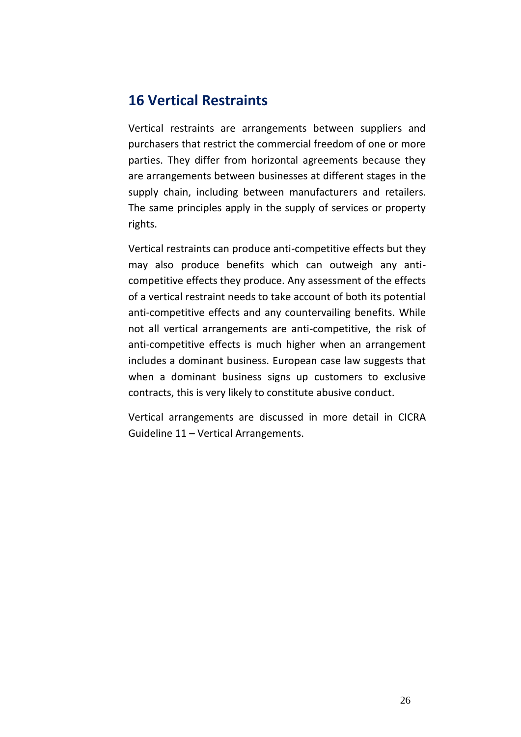### **16 Vertical Restraints**

Vertical restraints are arrangements between suppliers and purchasers that restrict the commercial freedom of one or more parties. They differ from horizontal agreements because they are arrangements between businesses at different stages in the supply chain, including between manufacturers and retailers. The same principles apply in the supply of services or property rights.

Vertical restraints can produce anti-competitive effects but they may also produce benefits which can outweigh any anticompetitive effects they produce. Any assessment of the effects of a vertical restraint needs to take account of both its potential anti-competitive effects and any countervailing benefits. While not all vertical arrangements are anti-competitive, the risk of anti-competitive effects is much higher when an arrangement includes a dominant business. European case law suggests that when a dominant business signs up customers to exclusive contracts, this is very likely to constitute abusive conduct.

Vertical arrangements are discussed in more detail in CICRA Guideline 11 – Vertical Arrangements.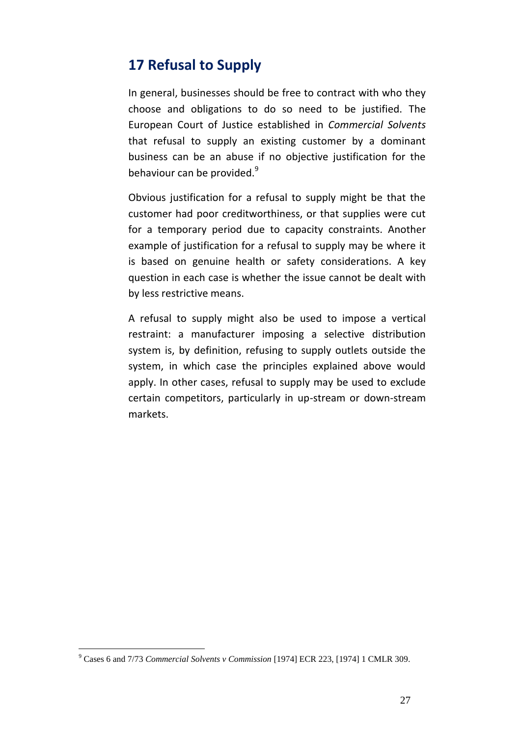# **17 Refusal to Supply**

In general, businesses should be free to contract with who they choose and obligations to do so need to be justified. The European Court of Justice established in *Commercial Solvents* that refusal to supply an existing customer by a dominant business can be an abuse if no objective justification for the behaviour can be provided. $9$ 

Obvious justification for a refusal to supply might be that the customer had poor creditworthiness, or that supplies were cut for a temporary period due to capacity constraints. Another example of justification for a refusal to supply may be where it is based on genuine health or safety considerations. A key question in each case is whether the issue cannot be dealt with by less restrictive means.

A refusal to supply might also be used to impose a vertical restraint: a manufacturer imposing a selective distribution system is, by definition, refusing to supply outlets outside the system, in which case the principles explained above would apply. In other cases, refusal to supply may be used to exclude certain competitors, particularly in up-stream or down-stream markets.

<sup>9</sup> Cases 6 and 7/73 *Commercial Solvents v Commission* [1974] ECR 223, [1974] 1 CMLR 309.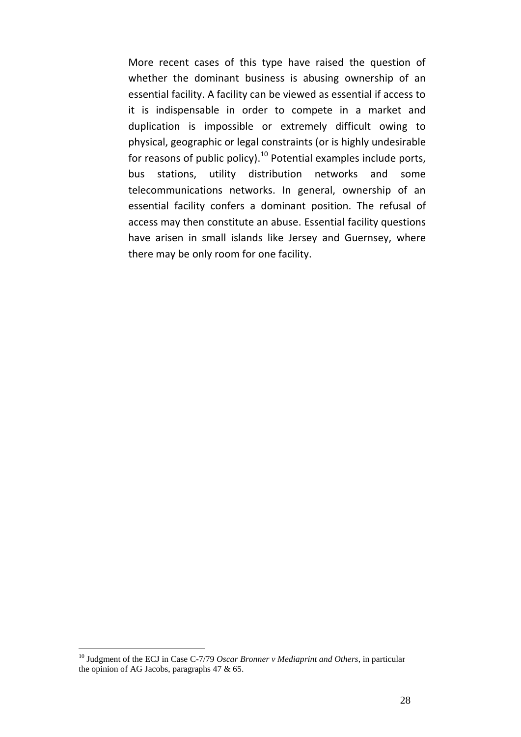More recent cases of this type have raised the question of whether the dominant business is abusing ownership of an essential facility. A facility can be viewed as essential if access to it is indispensable in order to compete in a market and duplication is impossible or extremely difficult owing to physical, geographic or legal constraints (or is highly undesirable for reasons of public policy). $10$  Potential examples include ports, bus stations, utility distribution networks and some telecommunications networks. In general, ownership of an essential facility confers a dominant position. The refusal of access may then constitute an abuse. Essential facility questions have arisen in small islands like Jersey and Guernsey, where there may be only room for one facility.

<sup>&</sup>lt;sup>10</sup> Judgment of the ECJ in Case C-7/79 *Oscar Bronner v Mediaprint and Others*, in particular the opinion of AG Jacobs, paragraphs 47 & 65.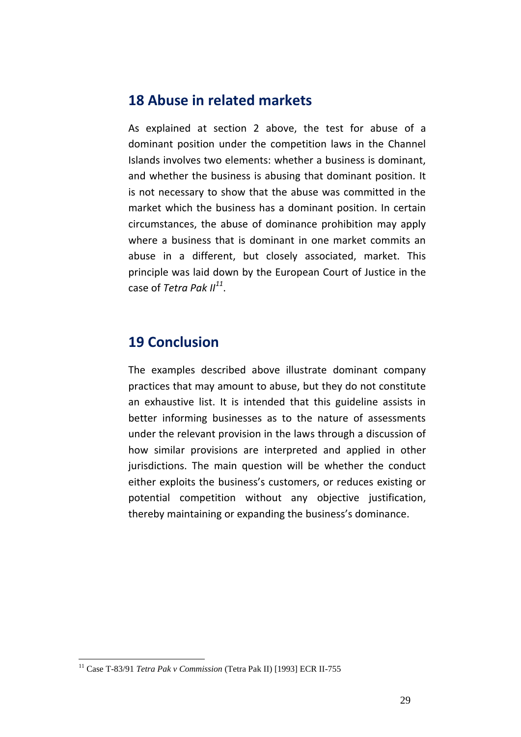#### **18 Abuse in related markets**

As explained at section 2 above, the test for abuse of a dominant position under the competition laws in the Channel Islands involves two elements: whether a business is dominant, and whether the business is abusing that dominant position. It is not necessary to show that the abuse was committed in the market which the business has a dominant position. In certain circumstances, the abuse of dominance prohibition may apply where a business that is dominant in one market commits an abuse in a different, but closely associated, market. This principle was laid down by the European Court of Justice in the case of *Tetra Pak II<sup>11</sup>* .

#### **19 Conclusion**

The examples described above illustrate dominant company practices that may amount to abuse, but they do not constitute an exhaustive list. It is intended that this guideline assists in better informing businesses as to the nature of assessments under the relevant provision in the laws through a discussion of how similar provisions are interpreted and applied in other jurisdictions. The main question will be whether the conduct either exploits the business's customers, or reduces existing or potential competition without any objective justification, thereby maintaining or expanding the business's dominance.

<sup>11</sup> Case T-83/91 *Tetra Pak v Commission* (Tetra Pak II) [1993] ECR II-755